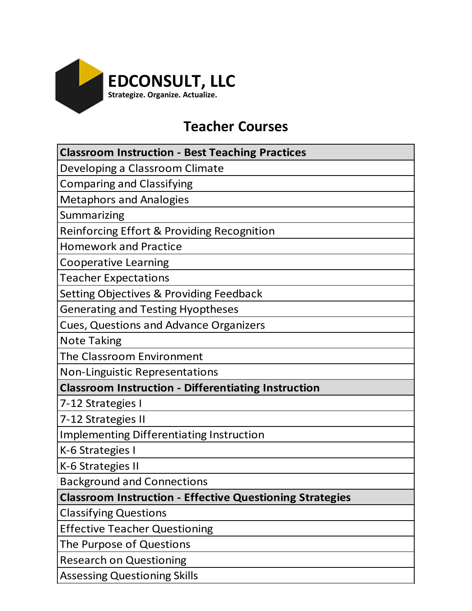

# **Teacher Courses**

| <b>Classroom Instruction - Best Teaching Practices</b>          |
|-----------------------------------------------------------------|
| Developing a Classroom Climate                                  |
| <b>Comparing and Classifying</b>                                |
| <b>Metaphors and Analogies</b>                                  |
| Summarizing                                                     |
| Reinforcing Effort & Providing Recognition                      |
| <b>Homework and Practice</b>                                    |
| <b>Cooperative Learning</b>                                     |
| <b>Teacher Expectations</b>                                     |
| <b>Setting Objectives &amp; Providing Feedback</b>              |
| <b>Generating and Testing Hyoptheses</b>                        |
| <b>Cues, Questions and Advance Organizers</b>                   |
| <b>Note Taking</b>                                              |
| The Classroom Environment                                       |
| <b>Non-Linguistic Representations</b>                           |
| <b>Classroom Instruction - Differentiating Instruction</b>      |
| 7-12 Strategies I                                               |
| 7-12 Strategies II                                              |
| <b>Implementing Differentiating Instruction</b>                 |
| K-6 Strategies I                                                |
| K-6 Strategies II                                               |
| <b>Background and Connections</b>                               |
| <b>Classroom Instruction - Effective Questioning Strategies</b> |
| <b>Classifying Questions</b>                                    |
| <b>Effective Teacher Questioning</b>                            |
| The Purpose of Questions                                        |
| <b>Research on Questioning</b>                                  |
|                                                                 |

Assessing Questioning Skills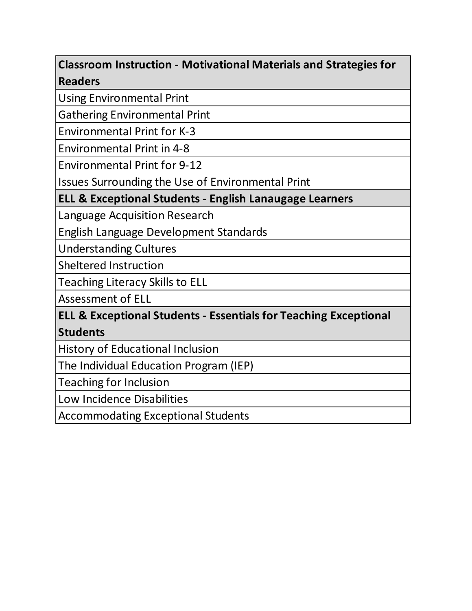### **Classroom Instruction - Motivational Materials and Strategies for Readers**

Using Environmental Print

Gathering Environmental Print

Environmental Print for K-3

Environmental Print in 4-8

Environmental Print for 9-12

Issues Surrounding the Use of Environmental Print

**ELL & Exceptional Students - English Lanaugage Learners**

Language Acquisition Research

English Language Development Standards

Understanding Cultures

Sheltered Instruction

Teaching Literacy Skills to ELL

Assessment of ELL

### **ELL & Exceptional Students - Essentials for Teaching Exceptional Students**

History of Educational Inclusion

The Individual Education Program (IEP)

Teaching for Inclusion

Low Incidence Disabilities

Accommodating Exceptional Students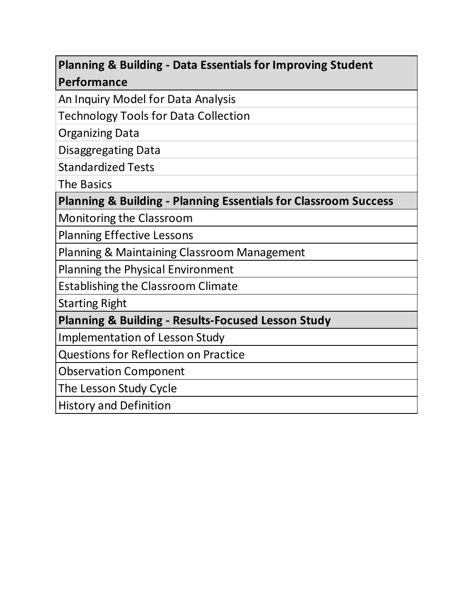## **Planning & Building - Data Essentials for Improving Student Performance**

An Inquiry Model for Data Analysis

Technology Tools for Data Collection

Organizing Data

Disaggregating Data

Standardized Tests

The Basics

**Planning & Building - Planning Essentials for Classroom Success**

Monitoring the Classroom

Planning Effective Lessons

Planning & Maintaining Classroom Management

Planning the Physical Environment

Establishing the Classroom Climate

Starting Right

**Planning & Building - Results-Focused Lesson Study**

Implementation of Lesson Study

Questions for Reflection on Practice

Observation Component

The Lesson Study Cycle

History and Definition